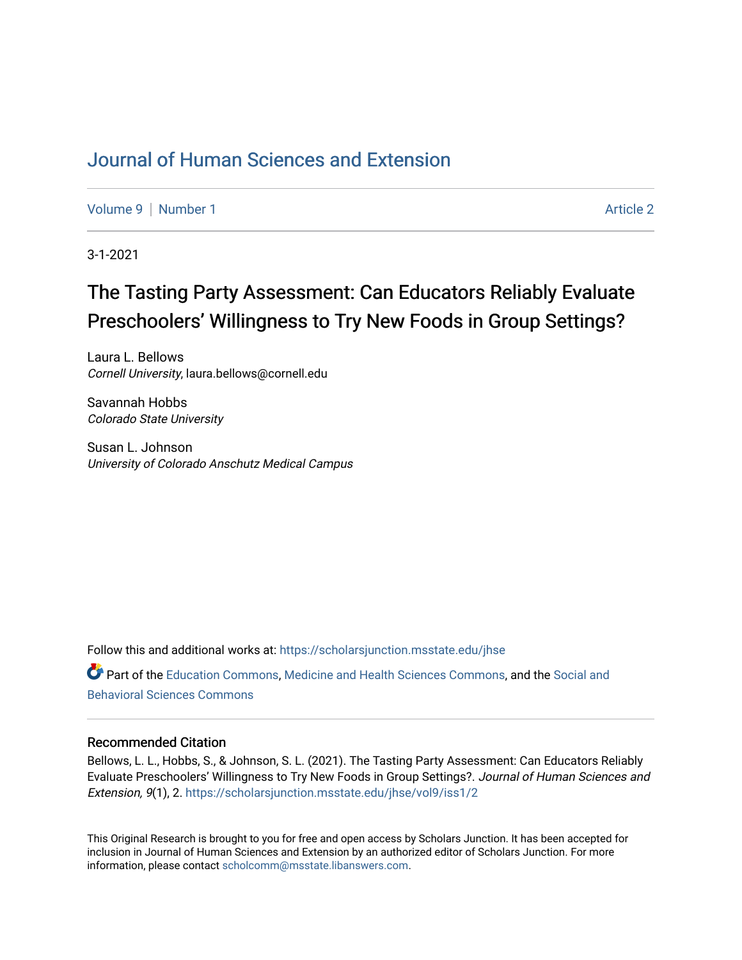# [Journal of Human Sciences and Extension](https://scholarsjunction.msstate.edu/jhse)

[Volume 9](https://scholarsjunction.msstate.edu/jhse/vol9) | [Number 1](https://scholarsjunction.msstate.edu/jhse/vol9/iss1) Article 2

3-1-2021

# The Tasting Party Assessment: Can Educators Reliably Evaluate Preschoolers' Willingness to Try New Foods in Group Settings?

Laura L. Bellows Cornell University, laura.bellows@cornell.edu

Savannah Hobbs Colorado State University

Susan L. Johnson University of Colorado Anschutz Medical Campus

Follow this and additional works at: [https://scholarsjunction.msstate.edu/jhse](https://scholarsjunction.msstate.edu/jhse?utm_source=scholarsjunction.msstate.edu%2Fjhse%2Fvol9%2Fiss1%2F2&utm_medium=PDF&utm_campaign=PDFCoverPages) Part of the [Education Commons](http://network.bepress.com/hgg/discipline/784?utm_source=scholarsjunction.msstate.edu%2Fjhse%2Fvol9%2Fiss1%2F2&utm_medium=PDF&utm_campaign=PDFCoverPages), [Medicine and Health Sciences Commons,](http://network.bepress.com/hgg/discipline/648?utm_source=scholarsjunction.msstate.edu%2Fjhse%2Fvol9%2Fiss1%2F2&utm_medium=PDF&utm_campaign=PDFCoverPages) and the [Social and](http://network.bepress.com/hgg/discipline/316?utm_source=scholarsjunction.msstate.edu%2Fjhse%2Fvol9%2Fiss1%2F2&utm_medium=PDF&utm_campaign=PDFCoverPages) [Behavioral Sciences Commons](http://network.bepress.com/hgg/discipline/316?utm_source=scholarsjunction.msstate.edu%2Fjhse%2Fvol9%2Fiss1%2F2&utm_medium=PDF&utm_campaign=PDFCoverPages) 

#### Recommended Citation

Bellows, L. L., Hobbs, S., & Johnson, S. L. (2021). The Tasting Party Assessment: Can Educators Reliably Evaluate Preschoolers' Willingness to Try New Foods in Group Settings?. Journal of Human Sciences and Extension, 9(1), 2. [https://scholarsjunction.msstate.edu/jhse/vol9/iss1/2](https://scholarsjunction.msstate.edu/jhse/vol9/iss1/2?utm_source=scholarsjunction.msstate.edu%2Fjhse%2Fvol9%2Fiss1%2F2&utm_medium=PDF&utm_campaign=PDFCoverPages) 

This Original Research is brought to you for free and open access by Scholars Junction. It has been accepted for inclusion in Journal of Human Sciences and Extension by an authorized editor of Scholars Junction. For more information, please contact [scholcomm@msstate.libanswers.com](mailto:scholcomm@msstate.libanswers.com).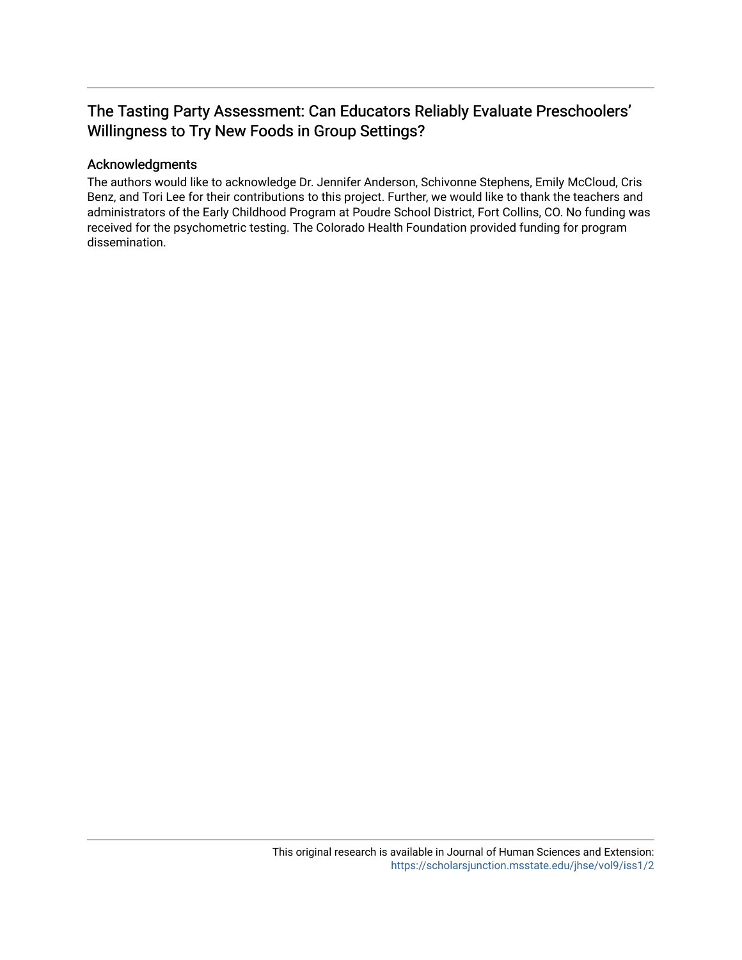# The Tasting Party Assessment: Can Educators Reliably Evaluate Preschoolers' Willingness to Try New Foods in Group Settings?

## Acknowledgments

The authors would like to acknowledge Dr. Jennifer Anderson, Schivonne Stephens, Emily McCloud, Cris Benz, and Tori Lee for their contributions to this project. Further, we would like to thank the teachers and administrators of the Early Childhood Program at Poudre School District, Fort Collins, CO. No funding was received for the psychometric testing. The Colorado Health Foundation provided funding for program dissemination.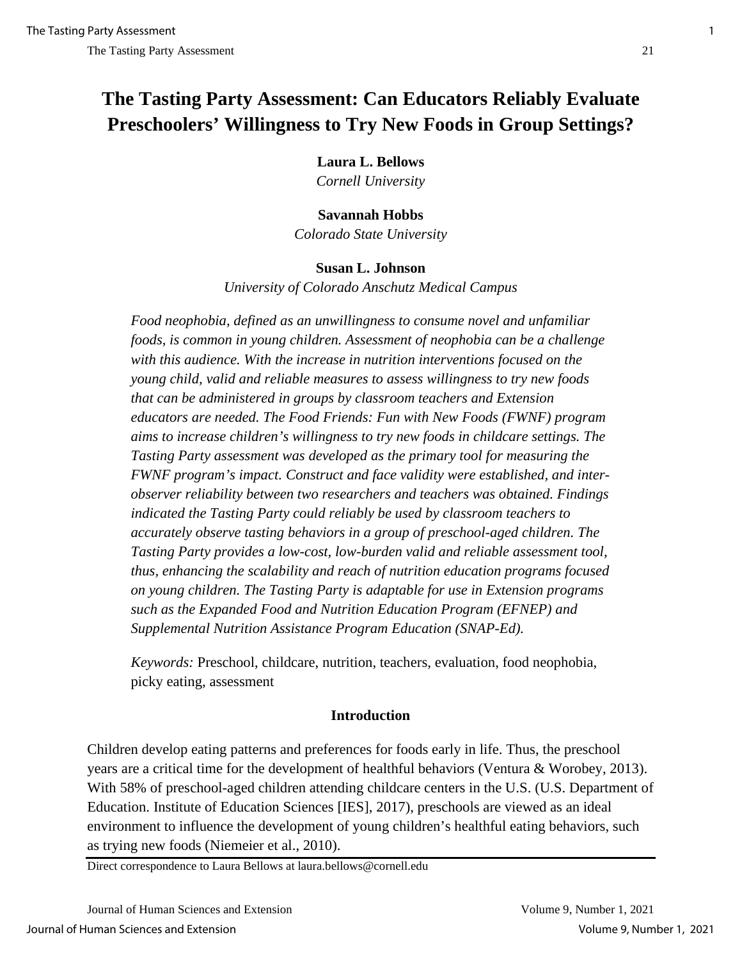# **The Tasting Party Assessment: Can Educators Reliably Evaluate Preschoolers' Willingness to Try New Foods in Group Settings?**

**Laura L. Bellows**

*Cornell University*

# **Savannah Hobbs**

*Colorado State University* 

# **Susan L. Johnson**

*University of Colorado Anschutz Medical Campus* 

*Food neophobia, defined as an unwillingness to consume novel and unfamiliar foods, is common in young children. Assessment of neophobia can be a challenge with this audience. With the increase in nutrition interventions focused on the young child, valid and reliable measures to assess willingness to try new foods that can be administered in groups by classroom teachers and Extension educators are needed. The Food Friends: Fun with New Foods (FWNF) program aims to increase children's willingness to try new foods in childcare settings. The Tasting Party assessment was developed as the primary tool for measuring the FWNF program's impact. Construct and face validity were established, and interobserver reliability between two researchers and teachers was obtained. Findings indicated the Tasting Party could reliably be used by classroom teachers to accurately observe tasting behaviors in a group of preschool-aged children. The Tasting Party provides a low-cost, low-burden valid and reliable assessment tool, thus, enhancing the scalability and reach of nutrition education programs focused on young children. The Tasting Party is adaptable for use in Extension programs such as the Expanded Food and Nutrition Education Program (EFNEP) and Supplemental Nutrition Assistance Program Education (SNAP-Ed).*

*Keywords:* Preschool, childcare, nutrition, teachers, evaluation, food neophobia, picky eating, assessment

# **Introduction**

Children develop eating patterns and preferences for foods early in life. Thus, the preschool years are a critical time for the development of healthful behaviors (Ventura & Worobey, 2013). With 58% of preschool-aged children attending childcare centers in the U.S. (U.S. Department of Education. Institute of Education Sciences [IES], 2017), preschools are viewed as an ideal environment to influence the development of young children's healthful eating behaviors, such as trying new foods (Niemeier et al., 2010).

Direct correspondence to Laura Bellows at laura.bellows@cornell.edu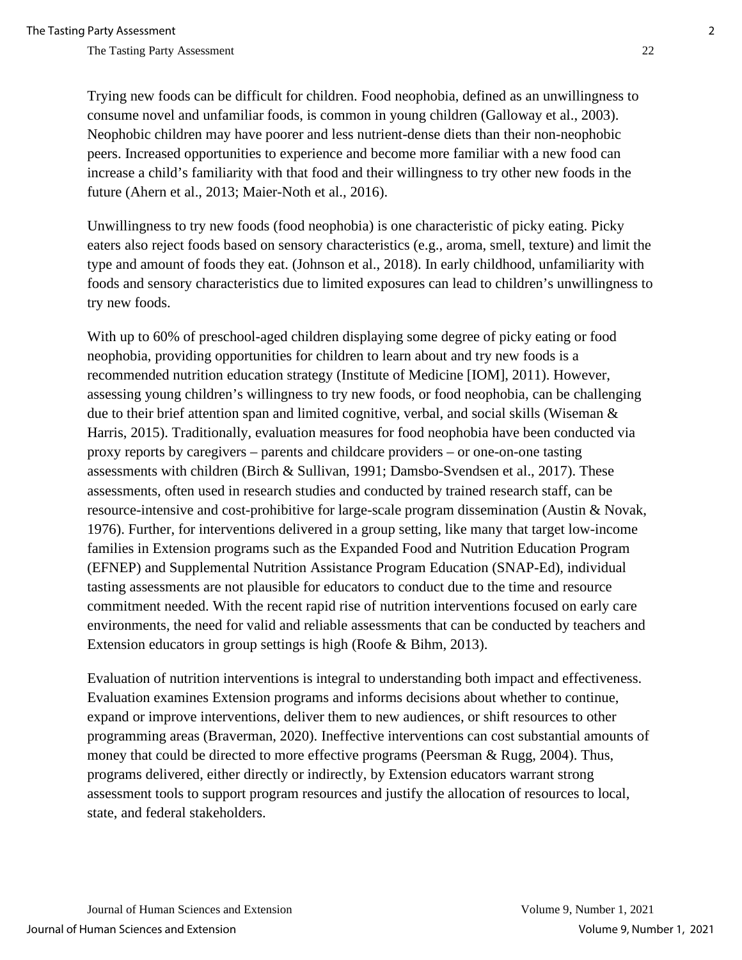Trying new foods can be difficult for children. Food neophobia, defined as an unwillingness to consume novel and unfamiliar foods, is common in young children (Galloway et al., 2003). Neophobic children may have poorer and less nutrient-dense diets than their non-neophobic peers. Increased opportunities to experience and become more familiar with a new food can increase a child's familiarity with that food and their willingness to try other new foods in the future (Ahern et al., 2013; Maier-Noth et al., 2016).

Unwillingness to try new foods (food neophobia) is one characteristic of picky eating. Picky eaters also reject foods based on sensory characteristics (e.g., aroma, smell, texture) and limit the type and amount of foods they eat. (Johnson et al., 2018). In early childhood, unfamiliarity with foods and sensory characteristics due to limited exposures can lead to children's unwillingness to try new foods.

With up to 60% of preschool-aged children displaying some degree of picky eating or food neophobia, providing opportunities for children to learn about and try new foods is a recommended nutrition education strategy (Institute of Medicine [IOM], 2011). However, assessing young children's willingness to try new foods, or food neophobia, can be challenging due to their brief attention span and limited cognitive, verbal, and social skills (Wiseman & Harris, 2015). Traditionally, evaluation measures for food neophobia have been conducted via proxy reports by caregivers – parents and childcare providers – or one-on-one tasting assessments with children (Birch & Sullivan, 1991; Damsbo-Svendsen et al., 2017). These assessments, often used in research studies and conducted by trained research staff, can be resource-intensive and cost-prohibitive for large-scale program dissemination (Austin & Novak, 1976). Further, for interventions delivered in a group setting, like many that target low-income families in Extension programs such as the Expanded Food and Nutrition Education Program (EFNEP) and Supplemental Nutrition Assistance Program Education (SNAP-Ed), individual tasting assessments are not plausible for educators to conduct due to the time and resource commitment needed. With the recent rapid rise of nutrition interventions focused on early care environments, the need for valid and reliable assessments that can be conducted by teachers and Extension educators in group settings is high (Roofe & Bihm, 2013).

Evaluation of nutrition interventions is integral to understanding both impact and effectiveness. Evaluation examines Extension programs and informs decisions about whether to continue, expand or improve interventions, deliver them to new audiences, or shift resources to other programming areas (Braverman, 2020). Ineffective interventions can cost substantial amounts of money that could be directed to more effective programs (Peersman & Rugg, 2004). Thus, programs delivered, either directly or indirectly, by Extension educators warrant strong assessment tools to support program resources and justify the allocation of resources to local, state, and federal stakeholders.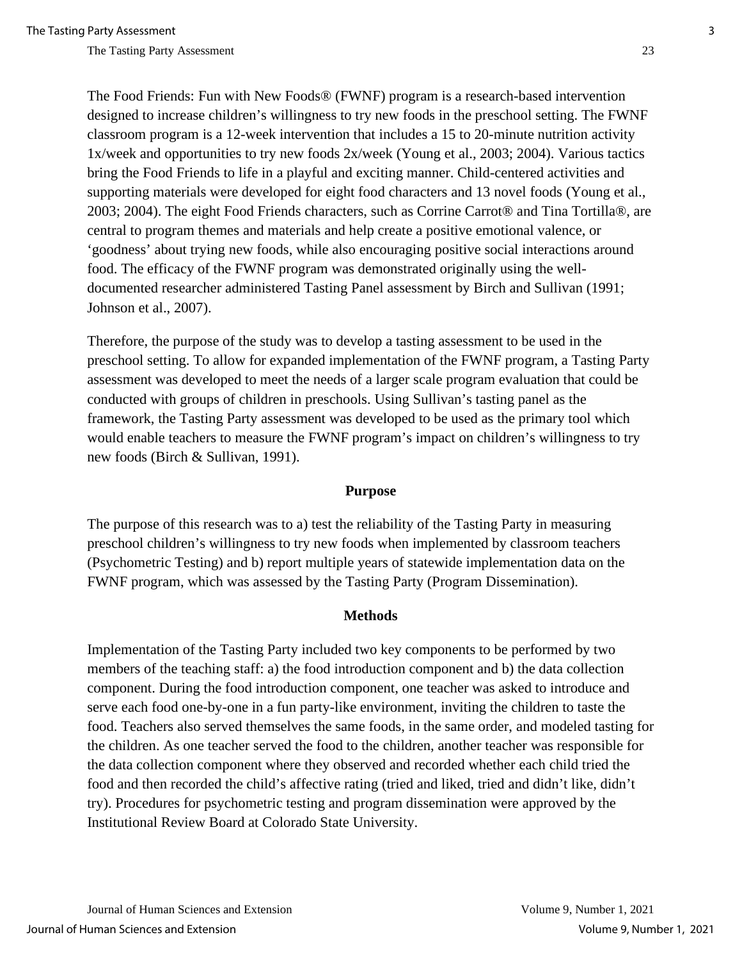The Food Friends: Fun with New Foods® (FWNF) program is a research-based intervention designed to increase children's willingness to try new foods in the preschool setting. The FWNF classroom program is a 12-week intervention that includes a 15 to 20-minute nutrition activity 1x/week and opportunities to try new foods 2x/week (Young et al., 2003; 2004). Various tactics bring the Food Friends to life in a playful and exciting manner. Child-centered activities and supporting materials were developed for eight food characters and 13 novel foods (Young et al., 2003; 2004). The eight Food Friends characters, such as Corrine Carrot® and Tina Tortilla®, are central to program themes and materials and help create a positive emotional valence, or 'goodness' about trying new foods, while also encouraging positive social interactions around food. The efficacy of the FWNF program was demonstrated originally using the welldocumented researcher administered Tasting Panel assessment by Birch and Sullivan (1991; Johnson et al., 2007).

Therefore, the purpose of the study was to develop a tasting assessment to be used in the preschool setting. To allow for expanded implementation of the FWNF program, a Tasting Party assessment was developed to meet the needs of a larger scale program evaluation that could be conducted with groups of children in preschools. Using Sullivan's tasting panel as the framework, the Tasting Party assessment was developed to be used as the primary tool which would enable teachers to measure the FWNF program's impact on children's willingness to try new foods (Birch & Sullivan, 1991).

### **Purpose**

The purpose of this research was to a) test the reliability of the Tasting Party in measuring preschool children's willingness to try new foods when implemented by classroom teachers (Psychometric Testing) and b) report multiple years of statewide implementation data on the FWNF program, which was assessed by the Tasting Party (Program Dissemination).

#### **Methods**

Implementation of the Tasting Party included two key components to be performed by two members of the teaching staff: a) the food introduction component and b) the data collection component. During the food introduction component, one teacher was asked to introduce and serve each food one-by-one in a fun party-like environment, inviting the children to taste the food. Teachers also served themselves the same foods, in the same order, and modeled tasting for the children. As one teacher served the food to the children, another teacher was responsible for the data collection component where they observed and recorded whether each child tried the food and then recorded the child's affective rating (tried and liked, tried and didn't like, didn't try). Procedures for psychometric testing and program dissemination were approved by the Institutional Review Board at Colorado State University.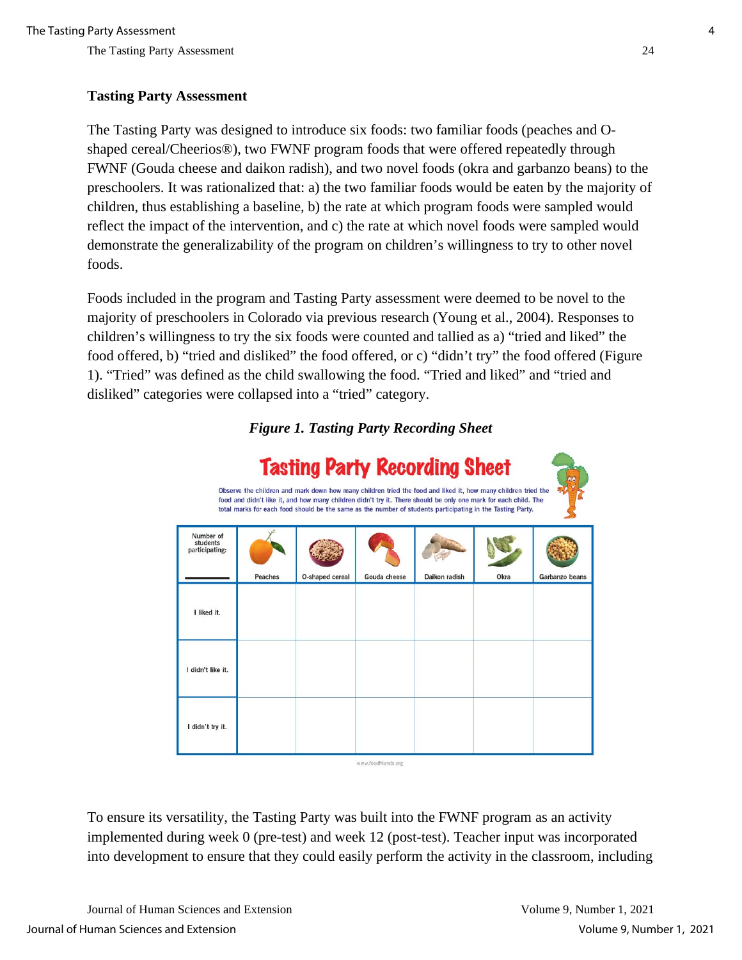# **Tasting Party Assessment**

The Tasting Party was designed to introduce six foods: two familiar foods (peaches and Oshaped cereal/Cheerios®), two FWNF program foods that were offered repeatedly through FWNF (Gouda cheese and daikon radish), and two novel foods (okra and garbanzo beans) to the preschoolers. It was rationalized that: a) the two familiar foods would be eaten by the majority of children, thus establishing a baseline, b) the rate at which program foods were sampled would reflect the impact of the intervention, and c) the rate at which novel foods were sampled would demonstrate the generalizability of the program on children's willingness to try to other novel foods.

Foods included in the program and Tasting Party assessment were deemed to be novel to the majority of preschoolers in Colorado via previous research (Young et al., 2004). Responses to children's willingness to try the six foods were counted and tallied as a) "tried and liked" the food offered, b) "tried and disliked" the food offered, or c) "didn't try" the food offered (Figure 1). "Tried" was defined as the child swallowing the food. "Tried and liked" and "tried and disliked" categories were collapsed into a "tried" category.

# **Tasting Party Recording Sheet** Observe the children and mark down how many children tried the food and liked it, how many children tried the food and didn't like it, and how many children didn't try it. There should be only one mark for each child. The total marks for each food should be the same as the number of students participating in the Tasting Party Number of students participating Okra Garbanzo beans Peaches O-shaped cerea Gouda cheese Daikon radish I liked it. I didn't like it. I didn't try it. www.foodfriends.org

*Figure 1. Tasting Party Recording Sheet*

To ensure its versatility, the Tasting Party was built into the FWNF program as an activity implemented during week 0 (pre-test) and week 12 (post-test). Teacher input was incorporated into development to ensure that they could easily perform the activity in the classroom, including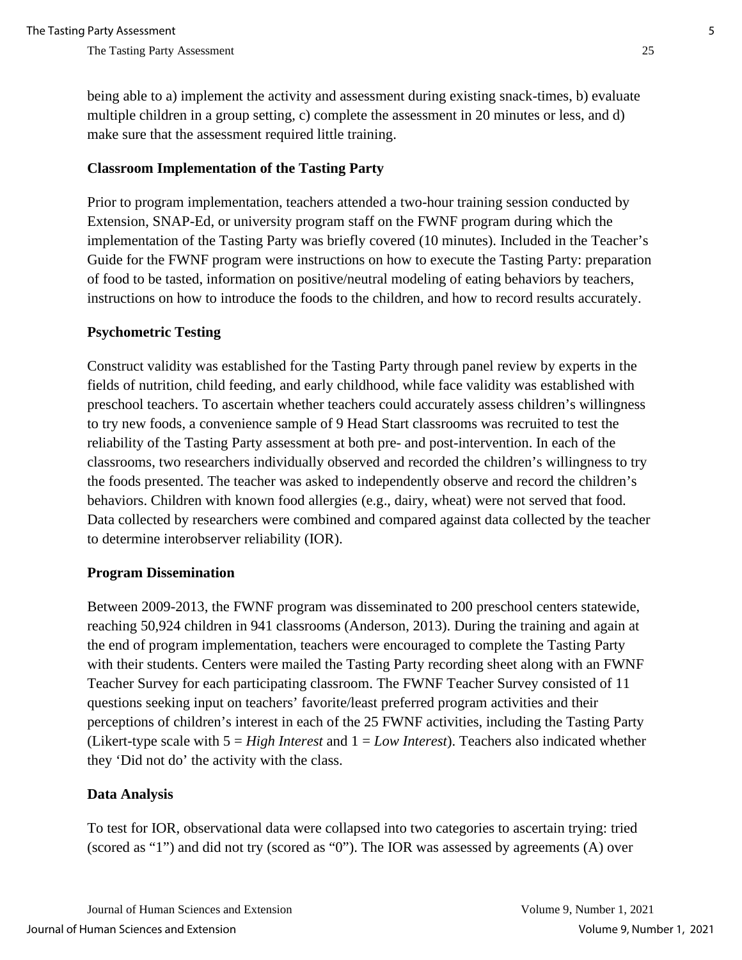being able to a) implement the activity and assessment during existing snack-times, b) evaluate multiple children in a group setting, c) complete the assessment in 20 minutes or less, and d) make sure that the assessment required little training.

# **Classroom Implementation of the Tasting Party**

Prior to program implementation, teachers attended a two-hour training session conducted by Extension, SNAP-Ed, or university program staff on the FWNF program during which the implementation of the Tasting Party was briefly covered (10 minutes). Included in the Teacher's Guide for the FWNF program were instructions on how to execute the Tasting Party: preparation of food to be tasted, information on positive/neutral modeling of eating behaviors by teachers, instructions on how to introduce the foods to the children, and how to record results accurately.

## **Psychometric Testing**

Construct validity was established for the Tasting Party through panel review by experts in the fields of nutrition, child feeding, and early childhood, while face validity was established with preschool teachers. To ascertain whether teachers could accurately assess children's willingness to try new foods, a convenience sample of 9 Head Start classrooms was recruited to test the reliability of the Tasting Party assessment at both pre- and post-intervention. In each of the classrooms, two researchers individually observed and recorded the children's willingness to try the foods presented. The teacher was asked to independently observe and record the children's behaviors. Children with known food allergies (e.g., dairy, wheat) were not served that food. Data collected by researchers were combined and compared against data collected by the teacher to determine interobserver reliability (IOR).

### **Program Dissemination**

Between 2009-2013, the FWNF program was disseminated to 200 preschool centers statewide, reaching 50,924 children in 941 classrooms (Anderson, 2013). During the training and again at the end of program implementation, teachers were encouraged to complete the Tasting Party with their students. Centers were mailed the Tasting Party recording sheet along with an FWNF Teacher Survey for each participating classroom. The FWNF Teacher Survey consisted of 11 questions seeking input on teachers' favorite/least preferred program activities and their perceptions of children's interest in each of the 25 FWNF activities, including the Tasting Party (Likert-type scale with 5 = *High Interest* and 1 = *Low Interest*). Teachers also indicated whether they 'Did not do' the activity with the class.

### **Data Analysis**

To test for IOR, observational data were collapsed into two categories to ascertain trying: tried (scored as "1") and did not try (scored as "0"). The IOR was assessed by agreements (A) over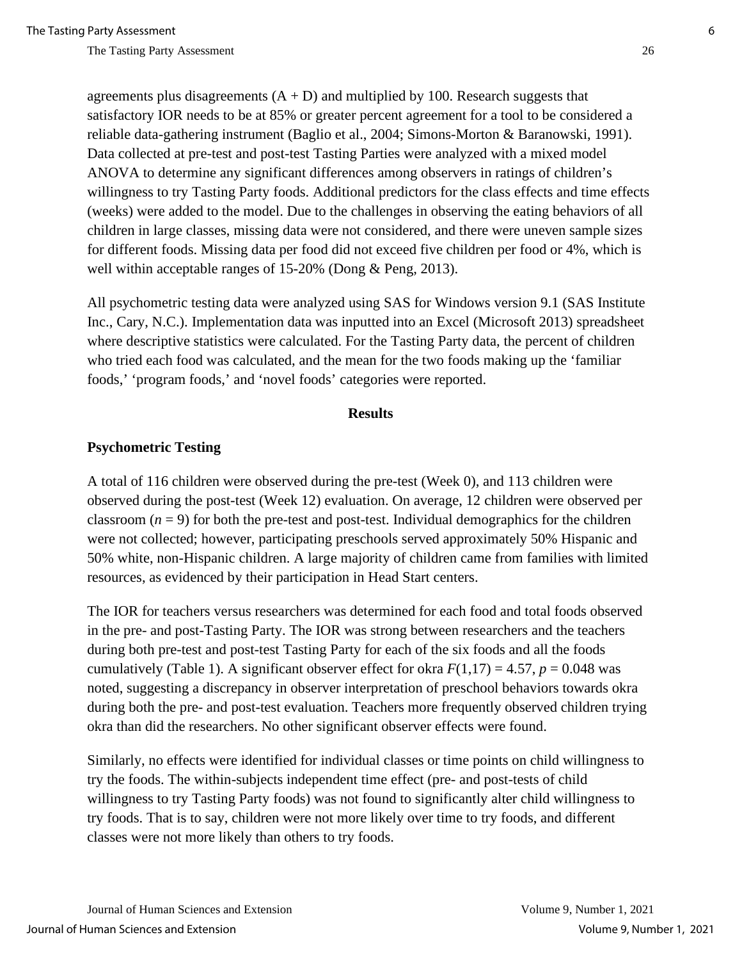agreements plus disagreements  $(A + D)$  and multiplied by 100. Research suggests that satisfactory IOR needs to be at 85% or greater percent agreement for a tool to be considered a reliable data-gathering instrument (Baglio et al., 2004; Simons-Morton & Baranowski, 1991). Data collected at pre-test and post-test Tasting Parties were analyzed with a mixed model ANOVA to determine any significant differences among observers in ratings of children's willingness to try Tasting Party foods. Additional predictors for the class effects and time effects (weeks) were added to the model. Due to the challenges in observing the eating behaviors of all children in large classes, missing data were not considered, and there were uneven sample sizes for different foods. Missing data per food did not exceed five children per food or 4%, which is well within acceptable ranges of 15-20% (Dong & Peng, 2013).

All psychometric testing data were analyzed using SAS for Windows version 9.1 (SAS Institute Inc., Cary, N.C.). Implementation data was inputted into an Excel (Microsoft 2013) spreadsheet where descriptive statistics were calculated. For the Tasting Party data, the percent of children who tried each food was calculated, and the mean for the two foods making up the 'familiar foods,' 'program foods,' and 'novel foods' categories were reported.

#### **Results**

### **Psychometric Testing**

A total of 116 children were observed during the pre-test (Week 0), and 113 children were observed during the post-test (Week 12) evaluation. On average, 12 children were observed per classroom  $(n = 9)$  for both the pre-test and post-test. Individual demographics for the children were not collected; however, participating preschools served approximately 50% Hispanic and 50% white, non-Hispanic children. A large majority of children came from families with limited resources, as evidenced by their participation in Head Start centers.

The IOR for teachers versus researchers was determined for each food and total foods observed in the pre- and post-Tasting Party. The IOR was strong between researchers and the teachers during both pre-test and post-test Tasting Party for each of the six foods and all the foods cumulatively (Table 1). A significant observer effect for okra  $F(1,17) = 4.57$ ,  $p = 0.048$  was noted, suggesting a discrepancy in observer interpretation of preschool behaviors towards okra during both the pre- and post-test evaluation. Teachers more frequently observed children trying okra than did the researchers. No other significant observer effects were found.

Similarly, no effects were identified for individual classes or time points on child willingness to try the foods. The within-subjects independent time effect (pre- and post-tests of child willingness to try Tasting Party foods) was not found to significantly alter child willingness to try foods. That is to say, children were not more likely over time to try foods, and different classes were not more likely than others to try foods.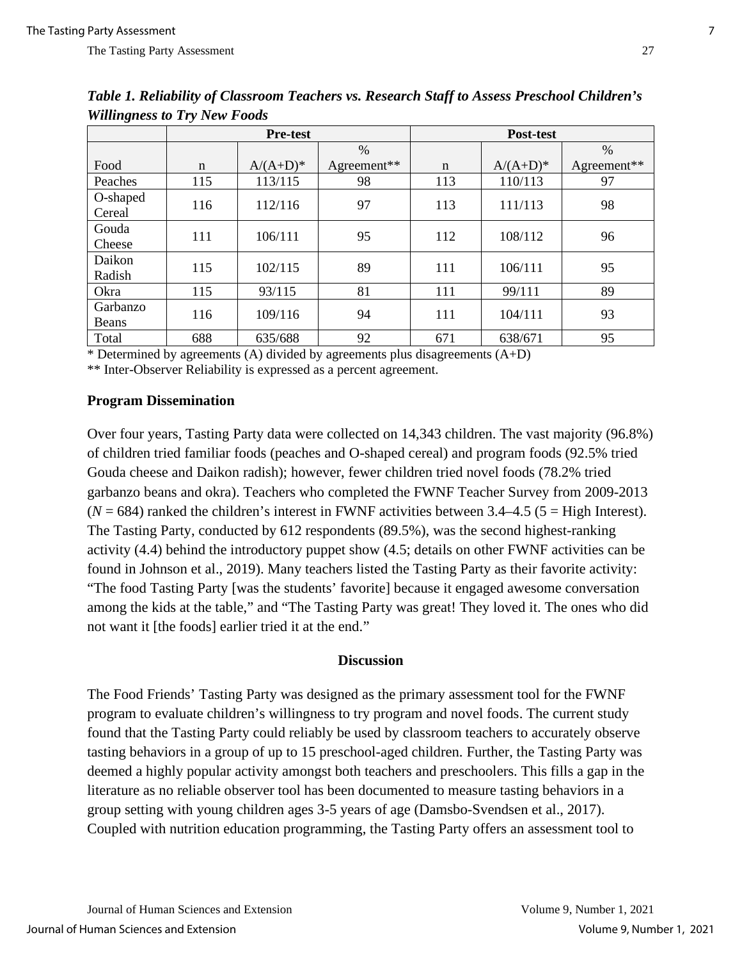|                    | <b>Pre-test</b> |             |               | Post-test   |             |               |
|--------------------|-----------------|-------------|---------------|-------------|-------------|---------------|
|                    |                 |             | $\frac{0}{0}$ |             |             | $\frac{0}{0}$ |
| Food               | $\mathbf n$     | $A/(A+D)^*$ | Agreement**   | $\mathbf n$ | $A/(A+D)^*$ | Agreement**   |
| Peaches            | 115             | 113/115     | 98            | 113         | 110/113     | 97            |
| O-shaped<br>Cereal | 116             | 112/116     | 97            | 113         | 111/113     | 98            |
| Gouda<br>Cheese    | 111             | 106/111     | 95            | 112         | 108/112     | 96            |
| Daikon<br>Radish   | 115             | 102/115     | 89            | 111         | 106/111     | 95            |
| Okra               | 115             | 93/115      | 81            | 111         | 99/111      | 89            |
| Garbanzo<br>Beans  | 116             | 109/116     | 94            | 111         | 104/111     | 93            |
| Total              | 688             | 635/688     | 92            | 671         | 638/671     | 95            |

*Table 1. Reliability of Classroom Teachers vs. Research Staff to Assess Preschool Children's Willingness to Try New Foods*

\* Determined by agreements (A) divided by agreements plus disagreements  $(A+D)$ 

\*\* Inter-Observer Reliability is expressed as a percent agreement.

# **Program Dissemination**

Over four years, Tasting Party data were collected on 14,343 children. The vast majority (96.8%) of children tried familiar foods (peaches and O-shaped cereal) and program foods (92.5% tried Gouda cheese and Daikon radish); however, fewer children tried novel foods (78.2% tried garbanzo beans and okra). Teachers who completed the FWNF Teacher Survey from 2009-2013  $(N = 684)$  ranked the children's interest in FWNF activities between 3.4–4.5 (5 = High Interest). The Tasting Party, conducted by 612 respondents (89.5%), was the second highest-ranking activity (4.4) behind the introductory puppet show (4.5; details on other FWNF activities can be found in Johnson et al., 2019). Many teachers listed the Tasting Party as their favorite activity: "The food Tasting Party [was the students' favorite] because it engaged awesome conversation among the kids at the table," and "The Tasting Party was great! They loved it. The ones who did not want it [the foods] earlier tried it at the end."

## **Discussion**

The Food Friends' Tasting Party was designed as the primary assessment tool for the FWNF program to evaluate children's willingness to try program and novel foods. The current study found that the Tasting Party could reliably be used by classroom teachers to accurately observe tasting behaviors in a group of up to 15 preschool-aged children. Further, the Tasting Party was deemed a highly popular activity amongst both teachers and preschoolers. This fills a gap in the literature as no reliable observer tool has been documented to measure tasting behaviors in a group setting with young children ages 3-5 years of age (Damsbo-Svendsen et al., 2017). Coupled with nutrition education programming, the Tasting Party offers an assessment tool to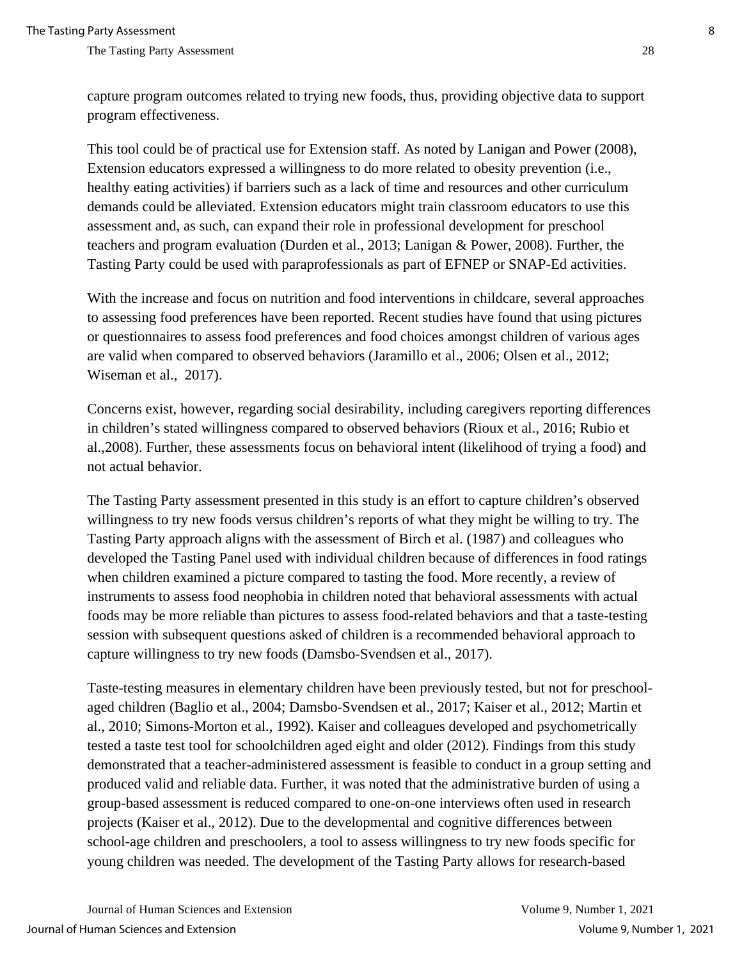capture program outcomes related to trying new foods, thus, providing objective data to support program effectiveness.

This tool could be of practical use for Extension staff. As noted by Lanigan and Power (2008), Extension educators expressed a willingness to do more related to obesity prevention (i.e., healthy eating activities) if barriers such as a lack of time and resources and other curriculum demands could be alleviated. Extension educators might train classroom educators to use this assessment and, as such, can expand their role in professional development for preschool teachers and program evaluation (Durden et al., 2013; Lanigan & Power, 2008). Further, the Tasting Party could be used with paraprofessionals as part of EFNEP or SNAP-Ed activities.

With the increase and focus on nutrition and food interventions in childcare, several approaches to assessing food preferences have been reported. Recent studies have found that using pictures or questionnaires to assess food preferences and food choices amongst children of various ages are valid when compared to observed behaviors (Jaramillo et al., 2006; Olsen et al., 2012; Wiseman et al., 2017).

Concerns exist, however, regarding social desirability, including caregivers reporting differences in children's stated willingness compared to observed behaviors (Rioux et al., 2016; Rubio et al.,2008). Further, these assessments focus on behavioral intent (likelihood of trying a food) and not actual behavior.

The Tasting Party assessment presented in this study is an effort to capture children's observed willingness to try new foods versus children's reports of what they might be willing to try. The Tasting Party approach aligns with the assessment of Birch et al. (1987) and colleagues who developed the Tasting Panel used with individual children because of differences in food ratings when children examined a picture compared to tasting the food. More recently, a review of instruments to assess food neophobia in children noted that behavioral assessments with actual foods may be more reliable than pictures to assess food-related behaviors and that a taste-testing session with subsequent questions asked of children is a recommended behavioral approach to capture willingness to try new foods (Damsbo-Svendsen et al., 2017).

Taste-testing measures in elementary children have been previously tested, but not for preschoolaged children (Baglio et al., 2004; Damsbo-Svendsen et al., 2017; Kaiser et al., 2012; Martin et al., 2010; Simons-Morton et al., 1992). Kaiser and colleagues developed and psychometrically tested a taste test tool for schoolchildren aged eight and older (2012). Findings from this study demonstrated that a teacher-administered assessment is feasible to conduct in a group setting and produced valid and reliable data. Further, it was noted that the administrative burden of using a group-based assessment is reduced compared to one-on-one interviews often used in research projects (Kaiser et al., 2012). Due to the developmental and cognitive differences between school-age children and preschoolers, a tool to assess willingness to try new foods specific for young children was needed. The development of the Tasting Party allows for research-based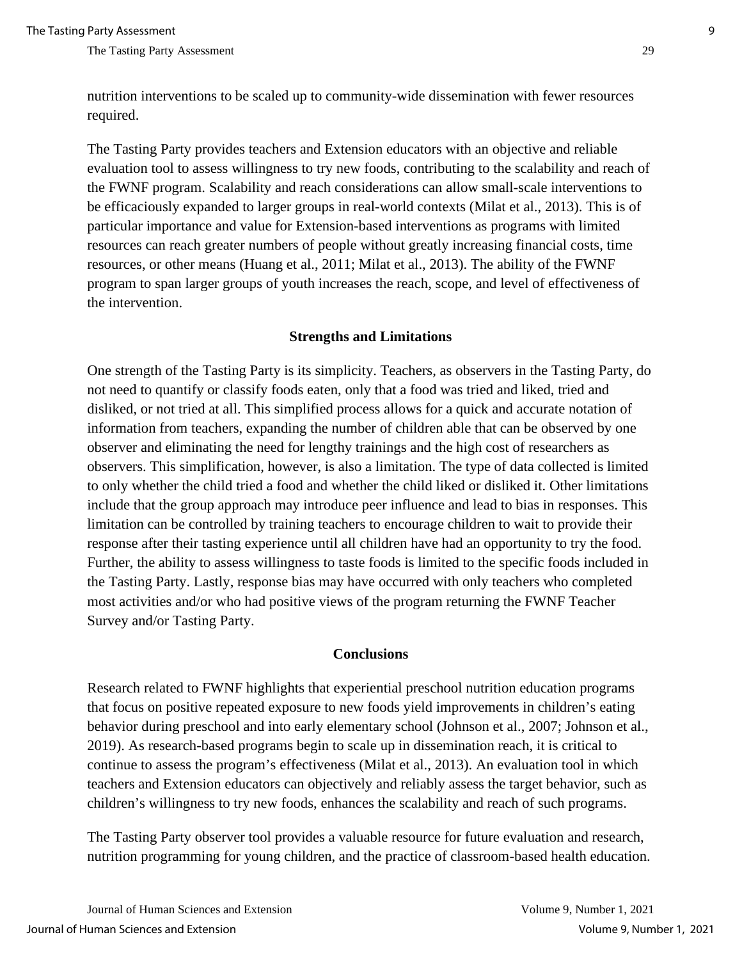nutrition interventions to be scaled up to community-wide dissemination with fewer resources required.

The Tasting Party provides teachers and Extension educators with an objective and reliable evaluation tool to assess willingness to try new foods, contributing to the scalability and reach of the FWNF program. Scalability and reach considerations can allow small-scale interventions to be efficaciously expanded to larger groups in real-world contexts (Milat et al., 2013). This is of particular importance and value for Extension-based interventions as programs with limited resources can reach greater numbers of people without greatly increasing financial costs, time resources, or other means (Huang et al., 2011; Milat et al., 2013). The ability of the FWNF program to span larger groups of youth increases the reach, scope, and level of effectiveness of the intervention.

#### **Strengths and Limitations**

One strength of the Tasting Party is its simplicity. Teachers, as observers in the Tasting Party, do not need to quantify or classify foods eaten, only that a food was tried and liked, tried and disliked, or not tried at all. This simplified process allows for a quick and accurate notation of information from teachers, expanding the number of children able that can be observed by one observer and eliminating the need for lengthy trainings and the high cost of researchers as observers. This simplification, however, is also a limitation. The type of data collected is limited to only whether the child tried a food and whether the child liked or disliked it. Other limitations include that the group approach may introduce peer influence and lead to bias in responses. This limitation can be controlled by training teachers to encourage children to wait to provide their response after their tasting experience until all children have had an opportunity to try the food. Further, the ability to assess willingness to taste foods is limited to the specific foods included in the Tasting Party. Lastly, response bias may have occurred with only teachers who completed most activities and/or who had positive views of the program returning the FWNF Teacher Survey and/or Tasting Party.

#### **Conclusions**

Research related to FWNF highlights that experiential preschool nutrition education programs that focus on positive repeated exposure to new foods yield improvements in children's eating behavior during preschool and into early elementary school (Johnson et al., 2007; Johnson et al., 2019). As research-based programs begin to scale up in dissemination reach, it is critical to continue to assess the program's effectiveness (Milat et al., 2013). An evaluation tool in which teachers and Extension educators can objectively and reliably assess the target behavior, such as children's willingness to try new foods, enhances the scalability and reach of such programs.

The Tasting Party observer tool provides a valuable resource for future evaluation and research, nutrition programming for young children, and the practice of classroom-based health education.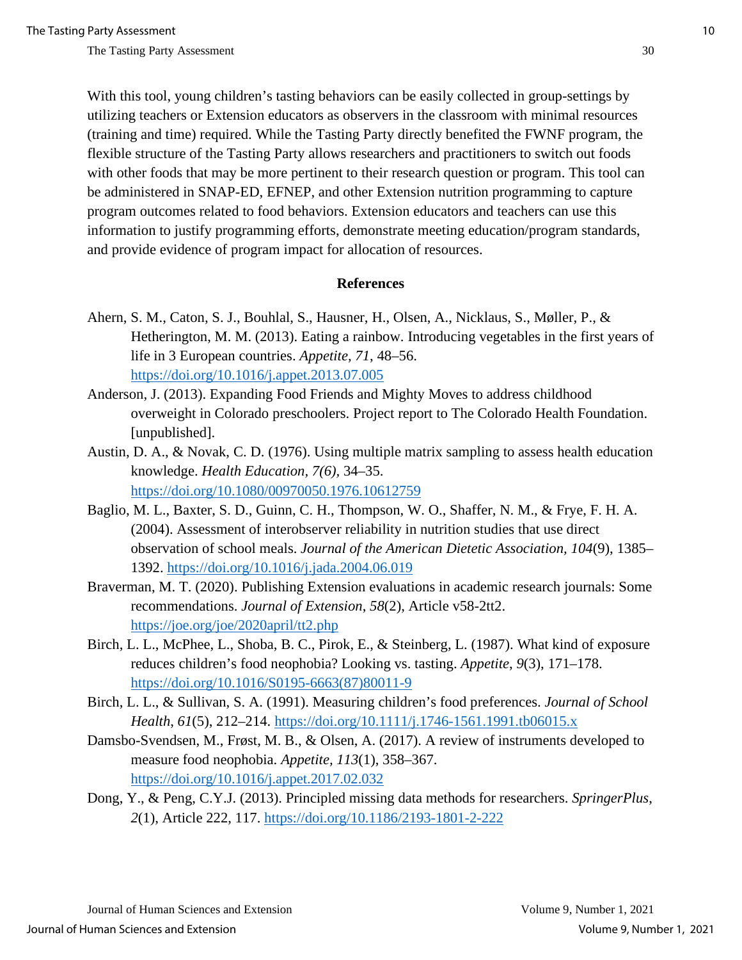With this tool, young children's tasting behaviors can be easily collected in group-settings by utilizing teachers or Extension educators as observers in the classroom with minimal resources (training and time) required. While the Tasting Party directly benefited the FWNF program, the flexible structure of the Tasting Party allows researchers and practitioners to switch out foods with other foods that may be more pertinent to their research question or program. This tool can be administered in SNAP-ED, EFNEP, and other Extension nutrition programming to capture program outcomes related to food behaviors. Extension educators and teachers can use this information to justify programming efforts, demonstrate meeting education/program standards, and provide evidence of program impact for allocation of resources.

### **References**

- Ahern, S. M., Caton, S. J., Bouhlal, S., Hausner, H., Olsen, A., Nicklaus, S., Møller, P., & Hetherington, M. M. (2013). Eating a rainbow. Introducing vegetables in the first years of life in 3 European countries. *Appetite, 71*, 48–56. <https://doi.org/10.1016/j.appet.2013.07.005>
- Anderson, J. (2013). Expanding Food Friends and Mighty Moves to address childhood overweight in Colorado preschoolers. Project report to The Colorado Health Foundation. [unpublished].
- Austin, D. A., & Novak, C. D. (1976). Using multiple matrix sampling to assess health education knowledge. *Health Education, 7(6),* 34–35. <https://doi.org/10.1080/00970050.1976.10612759>
- Baglio, M. L., Baxter, S. D., Guinn, C. H., Thompson, W. O., Shaffer, N. M., & Frye, F. H. A. (2004). Assessment of interobserver reliability in nutrition studies that use direct observation of school meals. *Journal of the American Dietetic Association, 104*(9), 1385– 1392.<https://doi.org/10.1016/j.jada.2004.06.019>
- Braverman, M. T. (2020). Publishing Extension evaluations in academic research journals: Some recommendations. *Journal of Extension*, *58*(2), Article v58-2tt2. <https://joe.org/joe/2020april/tt2.php>
- Birch, L. L., McPhee, L., Shoba, B. C., Pirok, E., & Steinberg, L. (1987). What kind of exposure reduces children's food neophobia? Looking vs. tasting. *Appetite*, *9*(3), 171–178. [https://doi.org/10.1016/S0195-6663\(87\)80011-9](https://doi.org/10.1016/S0195-6663(87)80011-9)
- Birch, L. L., & Sullivan, S. A. (1991). Measuring children's food preferences. *Journal of School Health*, *61*(5), 212–214.<https://doi.org/10.1111/j.1746-1561.1991.tb06015.x>
- Damsbo-Svendsen, M., Frøst, M. B., & Olsen, A. (2017). A review of instruments developed to measure food neophobia. *Appetite, 113*(1), 358–367. <https://doi.org/10.1016/j.appet.2017.02.032>
- Dong, Y., & Peng, C.Y.J. (2013). Principled missing data methods for researchers. *SpringerPlus*, *2*(1), Article 222, 117.<https://doi.org/10.1186/2193-1801-2-222>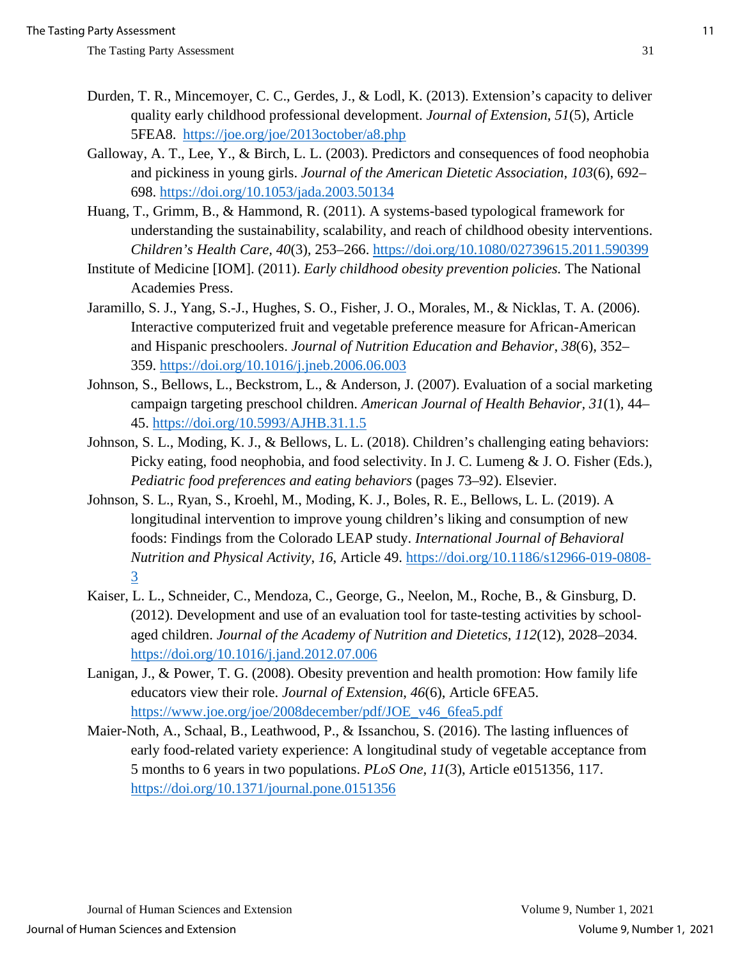- Durden, T. R., Mincemoyer, C. C., Gerdes, J., & Lodl, K. (2013). Extension's capacity to deliver quality early childhood professional development. *Journal of Extension*, *51*(5), Article 5FEA8. <https://joe.org/joe/2013october/a8.php>
- Galloway, A. T., Lee, Y., & Birch, L. L. (2003). Predictors and consequences of food neophobia and pickiness in young girls. *Journal of the American Dietetic Association*, *103*(6), 692– 698.<https://doi.org/10.1053/jada.2003.50134>
- Huang, T., Grimm, B., & Hammond, R. (2011). A systems-based typological framework for understanding the sustainability, scalability, and reach of childhood obesity interventions. *Children's Health Care, 40*(3)*,* 253–266.<https://doi.org/10.1080/02739615.2011.590399>
- Institute of Medicine [IOM]. (2011). *Early childhood obesity prevention policies.* The National Academies Press.
- Jaramillo, S. J., Yang, S.-J., Hughes, S. O., Fisher, J. O., Morales, M., & Nicklas, T. A. (2006). Interactive computerized fruit and vegetable preference measure for African-American and Hispanic preschoolers. *Journal of Nutrition Education and Behavior*, *38*(6), 352– 359.<https://doi.org/10.1016/j.jneb.2006.06.003>
- Johnson, S., Bellows, L., Beckstrom, L., & Anderson, J. (2007). Evaluation of a social marketing campaign targeting preschool children. *American Journal of Health Behavior, 31*(1)*,* 44– 45.<https://doi.org/10.5993/AJHB.31.1.5>
- Johnson, S. L., Moding, K. J., & Bellows, L. L. (2018). Children's challenging eating behaviors: Picky eating, food neophobia, and food selectivity. In J. C. Lumeng & J. O. Fisher (Eds.), *Pediatric food preferences and eating behaviors* (pages 73–92). Elsevier.
- Johnson, S. L., Ryan, S., Kroehl, M., Moding, K. J., Boles, R. E., Bellows, L. L. (2019). A longitudinal intervention to improve young children's liking and consumption of new foods: Findings from the Colorado LEAP study. *International Journal of Behavioral Nutrition and Physical Activity*, *16*, Article 49. [https://doi.org/10.1186/s12966-019-0808-](https://doi.org/10.1186/s12966-019-0808-3) [3](https://doi.org/10.1186/s12966-019-0808-3)
- Kaiser, L. L., Schneider, C., Mendoza, C., George, G., Neelon, M., Roche, B., & Ginsburg, D. (2012). Development and use of an evaluation tool for taste-testing activities by schoolaged children. *Journal of the Academy of Nutrition and Dietetics*, *112*(12), 2028–2034. <https://doi.org/10.1016/j.jand.2012.07.006>
- Lanigan, J., & Power, T. G. (2008). Obesity prevention and health promotion: How family life educators view their role. *Journal of Extension*, *46*(6), Article 6FEA5. [https://www.joe.org/joe/2008december/pdf/JOE\\_v46\\_6fea5.pdf](https://www.joe.org/joe/2008december/pdf/JOE_v46_6fea5.pdf)
- Maier-Noth, A., Schaal, B., Leathwood, P., & Issanchou, S. (2016). The lasting influences of early food-related variety experience: A longitudinal study of vegetable acceptance from 5 months to 6 years in two populations. *PLoS One, 11*(3), Article e0151356, 117. <https://doi.org/10.1371/journal.pone.0151356>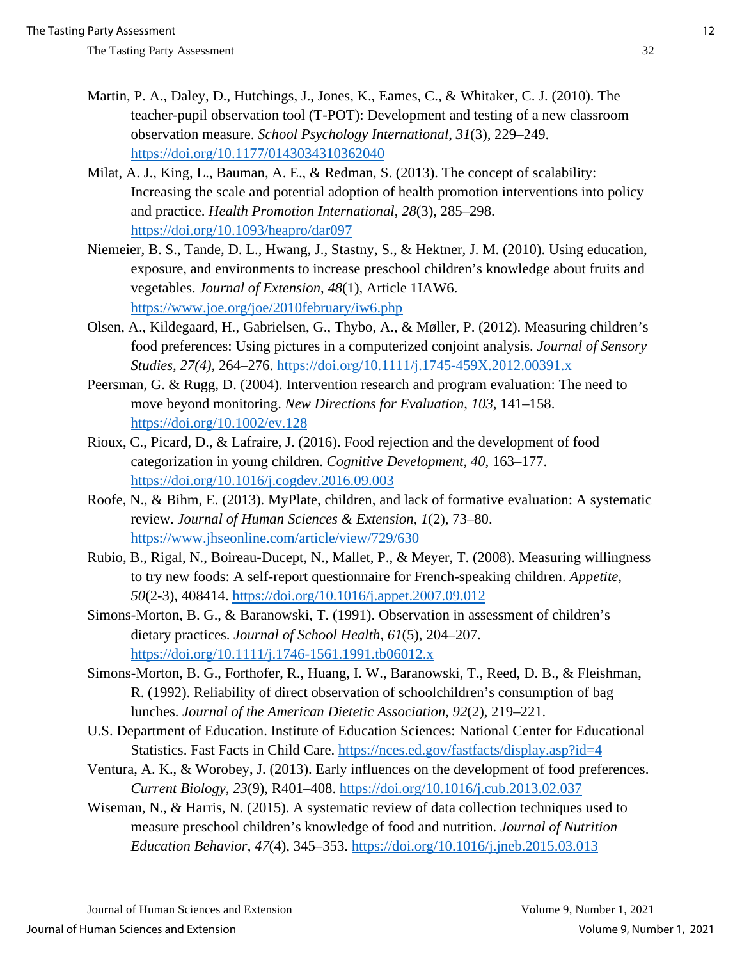- Martin, P. A., Daley, D., Hutchings, J., Jones, K., Eames, C., & Whitaker, C. J. (2010). The teacher-pupil observation tool (T-POT): Development and testing of a new classroom observation measure. *School Psychology International*, *31*(3), 229–249. <https://doi.org/10.1177/0143034310362040>
- Milat, A. J., King, L., Bauman, A. E., & Redman, S. (2013). The concept of scalability: Increasing the scale and potential adoption of health promotion interventions into policy and practice. *Health Promotion International*, *28*(3), 285–298. <https://doi.org/10.1093/heapro/dar097>
- Niemeier, B. S., Tande, D. L., Hwang, J., Stastny, S., & Hektner, J. M. (2010). Using education, exposure, and environments to increase preschool children's knowledge about fruits and vegetables. *Journal of Extension*, *48*(1), Article 1IAW6. <https://www.joe.org/joe/2010february/iw6.php>
- Olsen, A., Kildegaard, H., Gabrielsen, G., Thybo, A., & Møller, P. (2012). Measuring children's food preferences: Using pictures in a computerized conjoint analysis. *Journal of Sensory Studies, 27(4),* 264–276.<https://doi.org/10.1111/j.1745-459X.2012.00391.x>
- Peersman, G. & Rugg, D. (2004). Intervention research and program evaluation: The need to move beyond monitoring. *New Directions for Evaluation*, *103,* 141–158. <https://doi.org/10.1002/ev.128>
- Rioux, C., Picard, D., & Lafraire, J. (2016). Food rejection and the development of food categorization in young children. *Cognitive Development, 40*, 163–177. <https://doi.org/10.1016/j.cogdev.2016.09.003>
- Roofe, N., & Bihm, E. (2013). MyPlate, children, and lack of formative evaluation: A systematic review. *Journal of Human Sciences & Extension*, *1*(2), 73–80. <https://www.jhseonline.com/article/view/729/630>
- Rubio, B., Rigal, N., Boireau-Ducept, N., Mallet, P., & Meyer, T. (2008). Measuring willingness to try new foods: A self-report questionnaire for French-speaking children. *Appetite*, *50*(2-3), 408414.<https://doi.org/10.1016/j.appet.2007.09.012>
- Simons-Morton, B. G., & Baranowski, T. (1991). Observation in assessment of children's dietary practices. *Journal of School Health*, *61*(5), 204–207. <https://doi.org/10.1111/j.1746-1561.1991.tb06012.x>
- Simons-Morton, B. G., Forthofer, R., Huang, I. W., Baranowski, T., Reed, D. B., & Fleishman, R. (1992). Reliability of direct observation of schoolchildren's consumption of bag lunches. *Journal of the American Dietetic Association*, *92*(2), 219–221.
- U.S. Department of Education. Institute of Education Sciences: National Center for Educational Statistics. Fast Facts in Child Care.<https://nces.ed.gov/fastfacts/display.asp?id=4>
- Ventura, A. K., & Worobey, J. (2013). Early influences on the development of food preferences. *Current Biology*, *23*(9), R401–408.<https://doi.org/10.1016/j.cub.2013.02.037>
- Wiseman, N., & Harris, N. (2015). A systematic review of data collection techniques used to measure preschool children's knowledge of food and nutrition. *Journal of Nutrition Education Behavior*, *47*(4), 345–353.<https://doi.org/10.1016/j.jneb.2015.03.013>